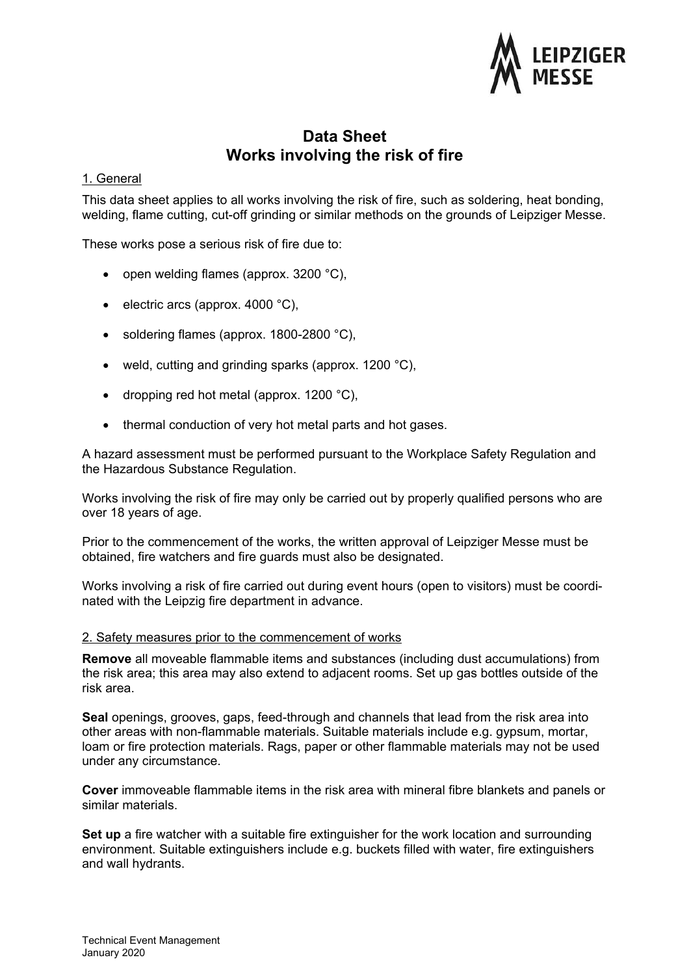

# **Data Sheet Works involving the risk of fire**

## 1. General

This data sheet applies to all works involving the risk of fire, such as soldering, heat bonding, welding, flame cutting, cut-off grinding or similar methods on the grounds of Leipziger Messe.

These works pose a serious risk of fire due to:

- open welding flames (approx.  $3200$  °C),
- electric arcs (approx. 4000  $^{\circ}$ C),
- soldering flames (approx. 1800-2800 °C),
- weld, cutting and grinding sparks (approx. 1200 °C),
- dropping red hot metal (approx.  $1200 °C$ ),
- thermal conduction of very hot metal parts and hot gases.

A hazard assessment must be performed pursuant to the Workplace Safety Regulation and the Hazardous Substance Regulation.

Works involving the risk of fire may only be carried out by properly qualified persons who are over 18 years of age.

Prior to the commencement of the works, the written approval of Leipziger Messe must be obtained, fire watchers and fire guards must also be designated.

Works involving a risk of fire carried out during event hours (open to visitors) must be coordinated with the Leipzig fire department in advance.

#### 2. Safety measures prior to the commencement of works

**Remove** all moveable flammable items and substances (including dust accumulations) from the risk area; this area may also extend to adjacent rooms. Set up gas bottles outside of the risk area.

**Seal** openings, grooves, gaps, feed-through and channels that lead from the risk area into other areas with non-flammable materials. Suitable materials include e.g. gypsum, mortar, loam or fire protection materials. Rags, paper or other flammable materials may not be used under any circumstance.

**Cover** immoveable flammable items in the risk area with mineral fibre blankets and panels or similar materials.

**Set up** a fire watcher with a suitable fire extinguisher for the work location and surrounding environment. Suitable extinguishers include e.g. buckets filled with water, fire extinguishers and wall hydrants.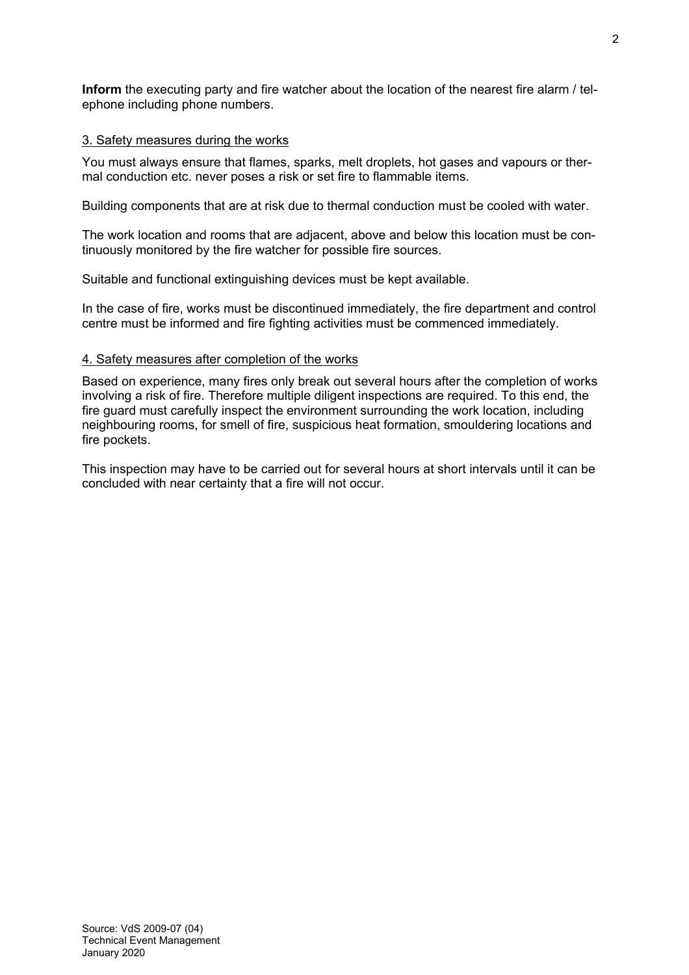**Inform** the executing party and fire watcher about the location of the nearest fire alarm / telephone including phone numbers.

## 3. Safety measures during the works

You must always ensure that flames, sparks, melt droplets, hot gases and vapours or thermal conduction etc. never poses a risk or set fire to flammable items.

Building components that are at risk due to thermal conduction must be cooled with water.

The work location and rooms that are adjacent, above and below this location must be continuously monitored by the fire watcher for possible fire sources.

Suitable and functional extinguishing devices must be kept available.

In the case of fire, works must be discontinued immediately, the fire department and control centre must be informed and fire fighting activities must be commenced immediately.

## 4. Safety measures after completion of the works

Based on experience, many fires only break out several hours after the completion of works involving a risk of fire. Therefore multiple diligent inspections are required. To this end, the fire guard must carefully inspect the environment surrounding the work location, including neighbouring rooms, for smell of fire, suspicious heat formation, smouldering locations and fire pockets.

This inspection may have to be carried out for several hours at short intervals until it can be concluded with near certainty that a fire will not occur.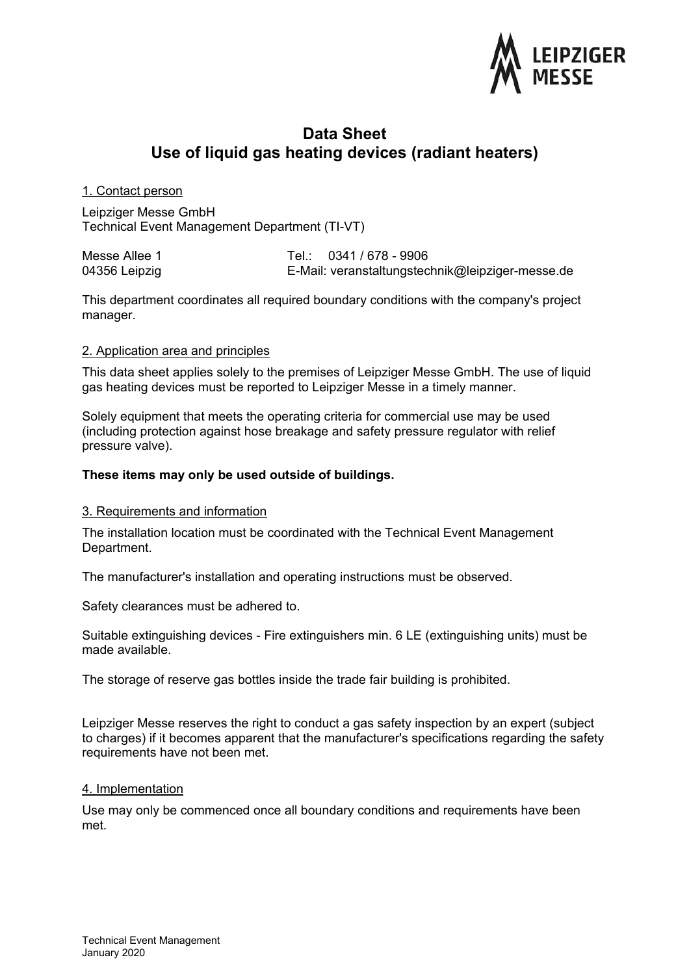

## **Data Sheet Use of liquid gas heating devices (radiant heaters)**

## 1. Contact person

Leipziger Messe GmbH Technical Event Management Department (TI-VT)

| Messe Allee 1 | Tel.: 0341 / 678 - 9906                          |
|---------------|--------------------------------------------------|
| 04356 Leipzig | E-Mail: veranstaltungstechnik@leipziger-messe.de |

This department coordinates all required boundary conditions with the company's project manager.

## 2. Application area and principles

This data sheet applies solely to the premises of Leipziger Messe GmbH. The use of liquid gas heating devices must be reported to Leipziger Messe in a timely manner.

Solely equipment that meets the operating criteria for commercial use may be used (including protection against hose breakage and safety pressure regulator with relief pressure valve).

## **These items may only be used outside of buildings.**

#### 3. Requirements and information

The installation location must be coordinated with the Technical Event Management Department.

The manufacturer's installation and operating instructions must be observed.

Safety clearances must be adhered to.

Suitable extinguishing devices - Fire extinguishers min. 6 LE (extinguishing units) must be made available.

The storage of reserve gas bottles inside the trade fair building is prohibited.

Leipziger Messe reserves the right to conduct a gas safety inspection by an expert (subject to charges) if it becomes apparent that the manufacturer's specifications regarding the safety requirements have not been met.

#### 4. Implementation

Use may only be commenced once all boundary conditions and requirements have been met.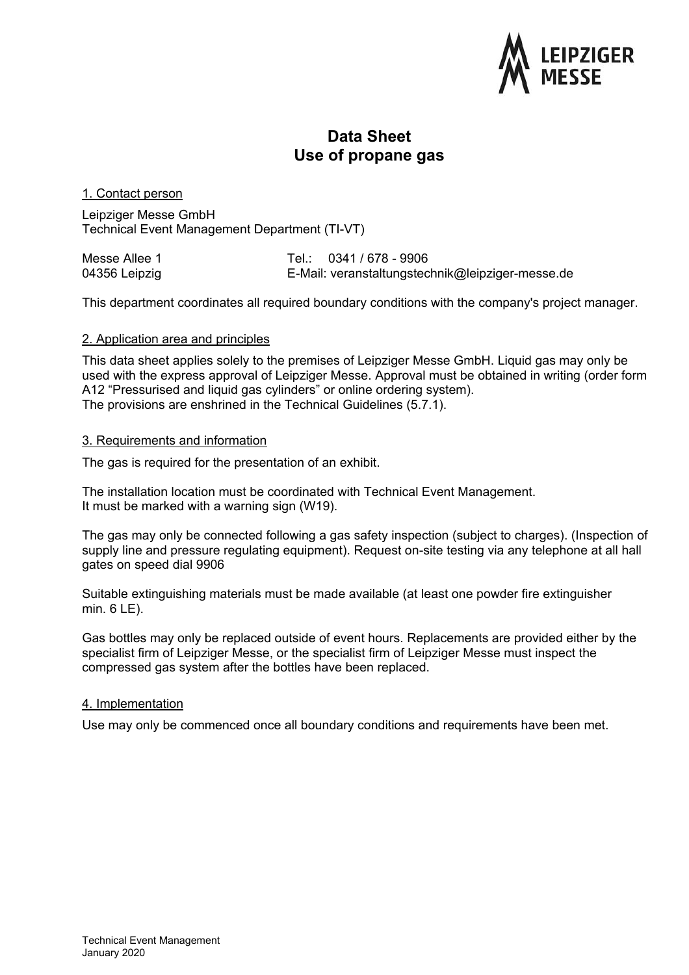

## **Data Sheet Use of propane gas**

## 1. Contact person

Leipziger Messe GmbH Technical Event Management Department (TI-VT)

| Messe Allee 1 | Tel.: 0341 / 678 - 9906                          |
|---------------|--------------------------------------------------|
| 04356 Leipzig | E-Mail: veranstaltungstechnik@leipziger-messe.de |

This department coordinates all required boundary conditions with the company's project manager.

## 2. Application area and principles

This data sheet applies solely to the premises of Leipziger Messe GmbH. Liquid gas may only be used with the express approval of Leipziger Messe. Approval must be obtained in writing (order form A12 "Pressurised and liquid gas cylinders" or online ordering system). The provisions are enshrined in the Technical Guidelines (5.7.1).

## 3. Requirements and information

The gas is required for the presentation of an exhibit.

The installation location must be coordinated with Technical Event Management. It must be marked with a warning sign (W19).

The gas may only be connected following a gas safety inspection (subject to charges). (Inspection of supply line and pressure regulating equipment). Request on-site testing via any telephone at all hall gates on speed dial 9906

Suitable extinguishing materials must be made available (at least one powder fire extinguisher min. 6 LE).

Gas bottles may only be replaced outside of event hours. Replacements are provided either by the specialist firm of Leipziger Messe, or the specialist firm of Leipziger Messe must inspect the compressed gas system after the bottles have been replaced.

#### 4. Implementation

Use may only be commenced once all boundary conditions and requirements have been met.